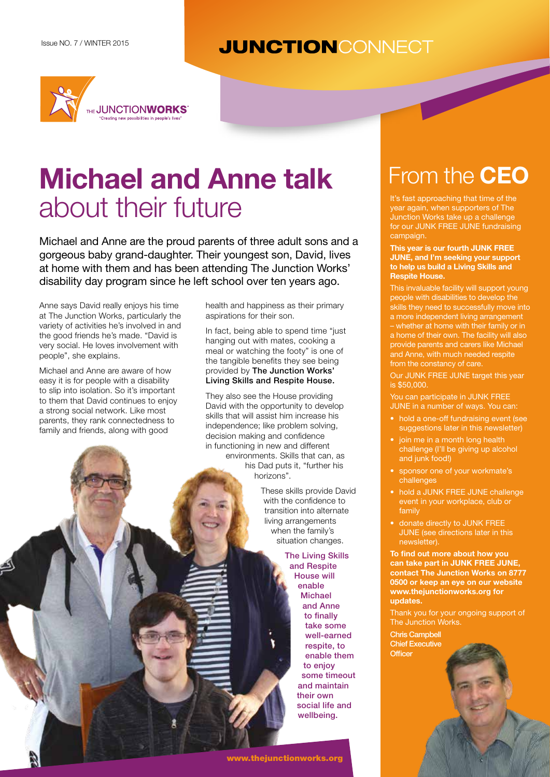## **JUNCTIONCONNECT**



# **Michael and Anne talk** about their future is and the supporters of the supporters of the supporters of the supporters of the supporters of the supporters of the supporters of the supporters of the supporters of the supporters of the supporters o

Michael and Anne are the proud parents of three adult sons and a gorgeous baby grand-daughter. Their youngest son, David, lives at home with them and has been attending The Junction Works' disability day program since he left school over ten years ago.

Anne says David really enjoys his time at The Junction Works, particularly the variety of activities he's involved in and the good friends he's made. "David is very social. He loves involvement with people", she explains.

Michael and Anne are aware of how easy it is for people with a disability to slip into isolation. So it's important to them that David continues to enjoy a strong social network. Like most parents, they rank connectedness to family and friends, along with good

health and happiness as their primary aspirations for their son.

In fact, being able to spend time "just hanging out with mates, cooking a meal or watching the footy" is one of the tangible benefits they see being provided by The Junction Works' Living Skills and Respite House.

They also see the House providing David with the opportunity to develop skills that will assist him increase his independence; like problem solving, decision making and confidence in functioning in new and different environments. Skills that can, as his Dad puts it, "further his horizons".

> These skills provide David with the confidence to transition into alternate living arrangements when the family's situation changes.

**The Living Skills** and Respite House will enable Michael and Anne to finally take some well-earned respite, to enable them to enjoy some timeout and maintain their own social life and wellbeing.

# From the **CEO**

year again, when supporters of The Junction Works take up a challenge for our JUNK FREE JUNE fundraising campaign.

**This year is our fourth JUNK FREE JUNE, and I'm seeking your support to help us build a Living Skills and Respite House.**

This invaluable facility will support young people with disabilities to develop the skills they need to successfully move into a more independent living arrangement – whether at home with their family or in a home of their own. The facility will also provide parents and carers like Michael and Anne, with much needed respite from the constancy of care.

Our JUNK FREE JUNE target this year is \$50,000.

You can participate in JUNK FREE JUNE in a number of ways. You can:

- hold a one-off fundraising event (see suggestions later in this newsletter)
- join me in a month long health challenge (I'll be giving up alcohol and junk food!)
- sponsor one of your workmate's challenges
- hold a JUNK FREE JUNE challenge event in your workplace, club or family
- donate directly to JUNK FREE JUNE (see directions later in this newsletter).

**To find out more about how you can take part in JUNK FREE JUNE, contact The Junction Works on 8777 0500 or keep an eye on our website www.thejunctionworks.org for updates.**

Thank you for your ongoing support of The Junction Works.

Chris Campbell Chief Executive **Officer**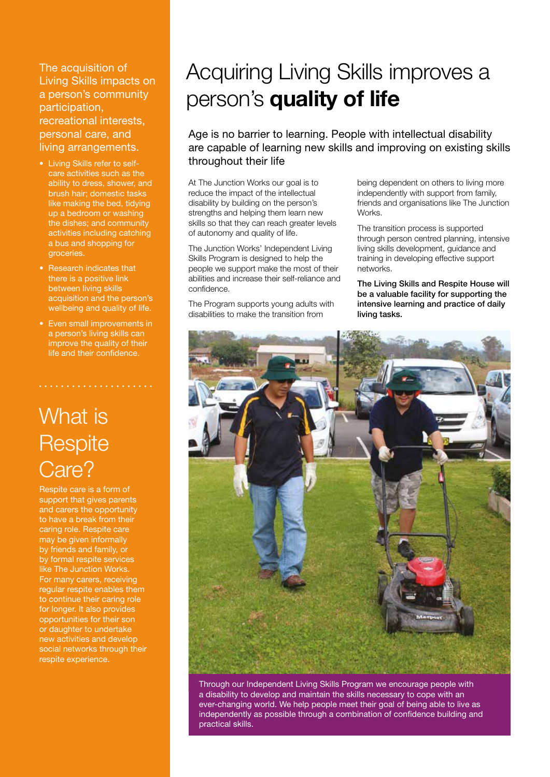The acquisition of Living Skills impacts on a person's community participation, recreational interests, personal care, and living arrangements.

- Living Skills refer to selfcare activities such as the ability to dress, shower, and brush hair; domestic tasks like making the bed, tidying up a bedroom or washing the dishes; and community activities including catching a bus and shopping for groceries.
- Research indicates that there is a positive link between living skills acquisition and the person's wellbeing and quality of life.
- Even small improvements in a person's living skills can improve the quality of their life and their confidence.

## What is **Respite** Care?

Respite care is a form of support that gives parents and carers the opportunity to have a break from their caring role. Respite care may be given informally by friends and family, or by formal respite services like The Junction Works. For many carers, receiving regular respite enables them to continue their caring role for longer. It also provides opportunities for their son or daughter to undertake new activities and develop social networks through their respite experience.

## Acquiring Living Skills improves a person's **quality of life**

Age is no barrier to learning. People with intellectual disability are capable of learning new skills and improving on existing skills throughout their life

At The Junction Works our goal is to reduce the impact of the intellectual disability by building on the person's strengths and helping them learn new skills so that they can reach greater levels of autonomy and quality of life.

The Junction Works' Independent Living Skills Program is designed to help the people we support make the most of their abilities and increase their self-reliance and confidence.

The Program supports young adults with disabilities to make the transition from

being dependent on others to living more independently with support from family, friends and organisations like The Junction Works.

The transition process is supported through person centred planning, intensive living skills development, guidance and training in developing effective support networks.

The Living Skills and Respite House will be a valuable facility for supporting the intensive learning and practice of daily living tasks.



Through our Independent Living Skills Program we encourage people with a disability to develop and maintain the skills necessary to cope with an ever-changing world. We help people meet their goal of being able to live as independently as possible through a combination of confidence building and practical skills.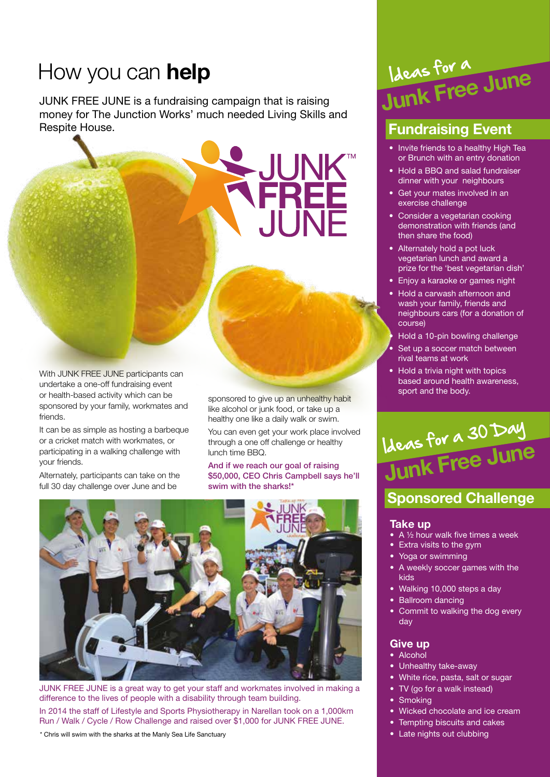## How you can **help**

JUNK FREE JUNE is a fundraising campaign that is raising money for The Junction Works' much needed Living Skills and Respite House.

With JUNK FRFF JUNF participants can undertake a one-off fundraising event or health-based activity which can be sponsored by your family, workmates and friends.

It can be as simple as hosting a barbeque or a cricket match with workmates, or participating in a walking challenge with your friends.

Alternately, participants can take on the full 30 day challenge over June and be

sponsored to give up an unhealthy habit like alcohol or junk food, or take up a healthy one like a daily walk or swim.

FREE

. II INF

You can even get your work place involved through a one off challenge or healthy lunch time BBQ.

And if we reach our goal of raising \$50,000, CEO Chris Campbell says he'll swim with the sharks!\*



JUNK FREE JUNE is a great way to get your staff and workmates involved in making a difference to the lives of people with a disability through team building. In 2014 the staff of Lifestyle and Sports Physiotherapy in Narellan took on a 1,000km Run / Walk / Cycle / Row Challenge and raised over \$1,000 for JUNK FREE JUNE.

\* Chris will swim with the sharks at the Manly Sea Life Sanctuary

## **Junk Free June** Ideas for a

## **Fundraising Event**

- Invite friends to a healthy High Tea or Brunch with an entry donation
- Hold a BBQ and salad fundraiser dinner with your neighbours
- Get your mates involved in an exercise challenge
- Consider a vegetarian cooking demonstration with friends (and then share the food)
- Alternately hold a pot luck vegetarian lunch and award a prize for the 'best vegetarian dish'
- Enjoy a karaoke or games night
- Hold a carwash afternoon and wash your family, friends and neighbours cars (for a donation of course)
- Hold a 10-pin bowling challenge
- Set up a soccer match between rival teams at work
- Hold a trivia night with topics based around health awareness, sport and the body.

# **Junk Free June** Ideas for a 30 Day

### **Sponsored Challenge**

### **Take up**

- A 1/2 hour walk five times a week
- Extra visits to the gym
- Yoga or swimming
- A weekly soccer games with the kids
- Walking 10,000 steps a day
- Ballroom dancing
- Commit to walking the dog every day

### **Give up**

- Alcohol
- Unhealthy take-away
- White rice, pasta, salt or sugar
- TV (go for a walk instead)
- **Smoking**
- Wicked chocolate and ice cream
- Tempting biscuits and cakes
- Late nights out clubbing